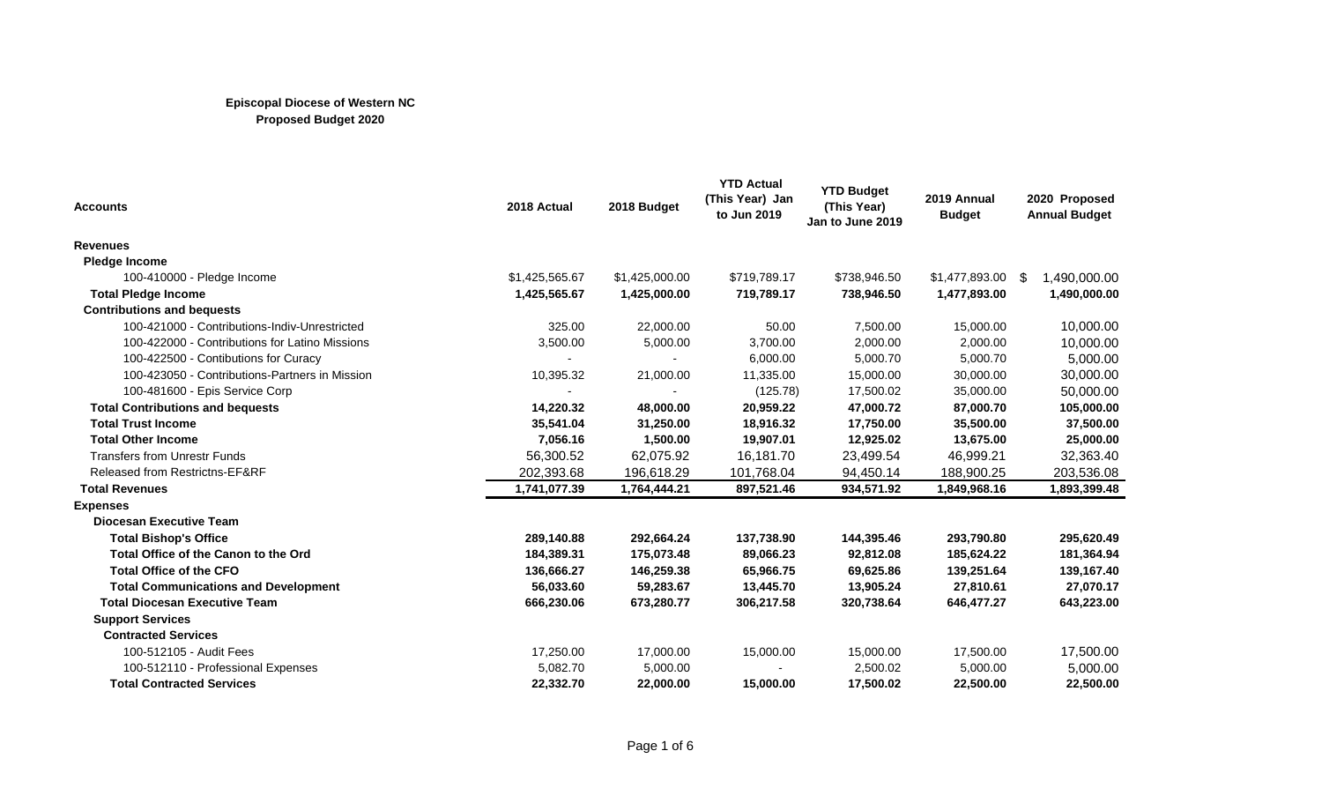| <b>Accounts</b>                                | 2018 Actual    | 2018 Budget    | <b>YTD Actual</b><br>(This Year) Jan<br>to Jun 2019 | <b>YTD Budget</b><br>(This Year)<br>Jan to June 2019 | 2019 Annual<br><b>Budget</b> | 2020 Proposed<br><b>Annual Budget</b> |
|------------------------------------------------|----------------|----------------|-----------------------------------------------------|------------------------------------------------------|------------------------------|---------------------------------------|
| <b>Revenues</b>                                |                |                |                                                     |                                                      |                              |                                       |
| <b>Pledge Income</b>                           |                |                |                                                     |                                                      |                              |                                       |
| 100-410000 - Pledge Income                     | \$1,425,565.67 | \$1,425,000.00 | \$719,789.17                                        | \$738,946.50                                         | $$1,477,893.00$ \$           | 1,490,000.00                          |
| <b>Total Pledge Income</b>                     | 1,425,565.67   | 1,425,000.00   | 719,789.17                                          | 738,946.50                                           | 1,477,893.00                 | 1,490,000.00                          |
| <b>Contributions and bequests</b>              |                |                |                                                     |                                                      |                              |                                       |
| 100-421000 - Contributions-Indiv-Unrestricted  | 325.00         | 22,000.00      | 50.00                                               | 7,500.00                                             | 15,000.00                    | 10,000.00                             |
| 100-422000 - Contributions for Latino Missions | 3,500.00       | 5,000.00       | 3,700.00                                            | 2,000.00                                             | 2,000.00                     | 10,000.00                             |
| 100-422500 - Contibutions for Curacy           |                |                | 6,000.00                                            | 5,000.70                                             | 5,000.70                     | 5,000.00                              |
| 100-423050 - Contributions-Partners in Mission | 10,395.32      | 21,000.00      | 11,335.00                                           | 15,000.00                                            | 30,000.00                    | 30,000.00                             |
| 100-481600 - Epis Service Corp                 |                |                | (125.78)                                            | 17,500.02                                            | 35,000.00                    | 50,000.00                             |
| <b>Total Contributions and bequests</b>        | 14,220.32      | 48,000.00      | 20,959.22                                           | 47,000.72                                            | 87,000.70                    | 105,000.00                            |
| <b>Total Trust Income</b>                      | 35,541.04      | 31,250.00      | 18,916.32                                           | 17,750.00                                            | 35,500.00                    | 37,500.00                             |
| <b>Total Other Income</b>                      | 7,056.16       | 1,500.00       | 19,907.01                                           | 12,925.02                                            | 13,675.00                    | 25,000.00                             |
| <b>Transfers from Unrestr Funds</b>            | 56,300.52      | 62,075.92      | 16,181.70                                           | 23,499.54                                            | 46,999.21                    | 32,363.40                             |
| Released from Restrictns-EF&RF                 | 202,393.68     | 196,618.29     | 101,768.04                                          | 94,450.14                                            | 188,900.25                   | 203,536.08                            |
| <b>Total Revenues</b>                          | 1,741,077.39   | 1,764,444.21   | 897,521.46                                          | 934,571.92                                           | 1,849,968.16                 | 1,893,399.48                          |
| <b>Expenses</b>                                |                |                |                                                     |                                                      |                              |                                       |
| <b>Diocesan Executive Team</b>                 |                |                |                                                     |                                                      |                              |                                       |
| <b>Total Bishop's Office</b>                   | 289,140.88     | 292,664.24     | 137,738.90                                          | 144,395.46                                           | 293,790.80                   | 295,620.49                            |
| Total Office of the Canon to the Ord           | 184,389.31     | 175,073.48     | 89,066.23                                           | 92,812.08                                            | 185,624.22                   | 181,364.94                            |
| <b>Total Office of the CFO</b>                 | 136,666.27     | 146,259.38     | 65,966.75                                           | 69,625.86                                            | 139,251.64                   | 139,167.40                            |
| <b>Total Communications and Development</b>    | 56,033.60      | 59,283.67      | 13,445.70                                           | 13,905.24                                            | 27,810.61                    | 27,070.17                             |
| <b>Total Diocesan Executive Team</b>           | 666,230.06     | 673,280.77     | 306,217.58                                          | 320,738.64                                           | 646,477.27                   | 643,223.00                            |
| <b>Support Services</b>                        |                |                |                                                     |                                                      |                              |                                       |
| <b>Contracted Services</b>                     |                |                |                                                     |                                                      |                              |                                       |
| 100-512105 - Audit Fees                        | 17,250.00      | 17,000.00      | 15,000.00                                           | 15,000.00                                            | 17,500.00                    | 17,500.00                             |
| 100-512110 - Professional Expenses             | 5,082.70       | 5,000.00       |                                                     | 2,500.02                                             | 5,000.00                     | 5,000.00                              |
| <b>Total Contracted Services</b>               | 22,332.70      | 22,000.00      | 15,000.00                                           | 17,500.02                                            | 22,500.00                    | 22,500.00                             |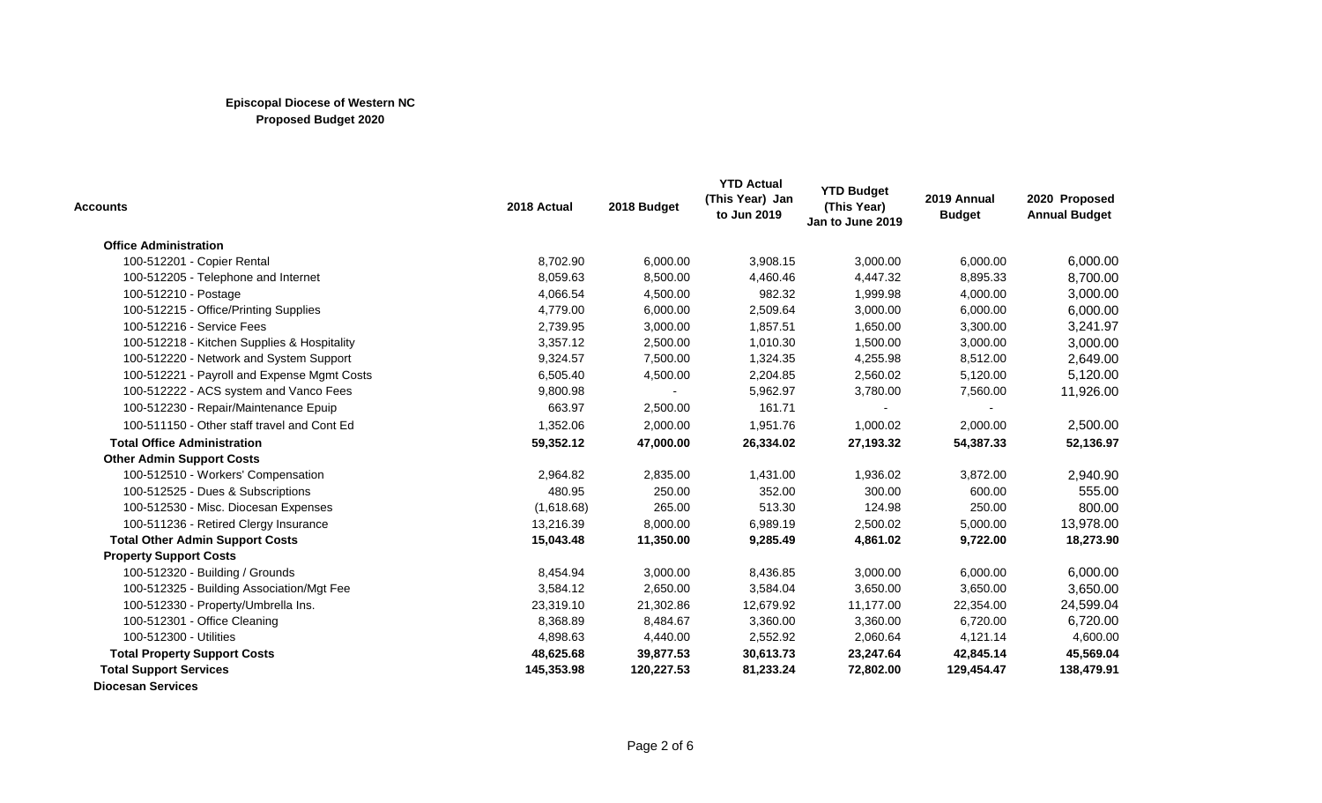| <b>Accounts</b>                             | 2018 Actual | 2018 Budget | <b>YTD Actual</b><br>(This Year) Jan<br>to Jun 2019 | <b>YTD Budget</b><br>(This Year)<br>Jan to June 2019 | 2019 Annual<br><b>Budget</b> | 2020 Proposed<br><b>Annual Budget</b> |
|---------------------------------------------|-------------|-------------|-----------------------------------------------------|------------------------------------------------------|------------------------------|---------------------------------------|
| <b>Office Administration</b>                |             |             |                                                     |                                                      |                              |                                       |
| 100-512201 - Copier Rental                  | 8,702.90    | 6,000.00    | 3,908.15                                            | 3,000.00                                             | 6,000.00                     | 6,000.00                              |
| 100-512205 - Telephone and Internet         | 8,059.63    | 8,500.00    | 4,460.46                                            | 4,447.32                                             | 8,895.33                     | 8,700.00                              |
| 100-512210 - Postage                        | 4,066.54    | 4,500.00    | 982.32                                              | 1,999.98                                             | 4,000.00                     | 3,000.00                              |
| 100-512215 - Office/Printing Supplies       | 4,779.00    | 6,000.00    | 2,509.64                                            | 3,000.00                                             | 6,000.00                     | 6,000.00                              |
| 100-512216 - Service Fees                   | 2,739.95    | 3,000.00    | 1,857.51                                            | 1,650.00                                             | 3,300.00                     | 3,241.97                              |
| 100-512218 - Kitchen Supplies & Hospitality | 3,357.12    | 2,500.00    | 1,010.30                                            | 1,500.00                                             | 3,000.00                     | 3,000.00                              |
| 100-512220 - Network and System Support     | 9,324.57    | 7,500.00    | 1,324.35                                            | 4,255.98                                             | 8,512.00                     | 2,649.00                              |
| 100-512221 - Payroll and Expense Mgmt Costs | 6,505.40    | 4,500.00    | 2,204.85                                            | 2,560.02                                             | 5,120.00                     | 5,120.00                              |
| 100-512222 - ACS system and Vanco Fees      | 9,800.98    |             | 5,962.97                                            | 3,780.00                                             | 7,560.00                     | 11,926.00                             |
| 100-512230 - Repair/Maintenance Epuip       | 663.97      | 2,500.00    | 161.71                                              |                                                      |                              |                                       |
| 100-511150 - Other staff travel and Cont Ed | 1,352.06    | 2,000.00    | 1,951.76                                            | 1,000.02                                             | 2,000.00                     | 2,500.00                              |
| <b>Total Office Administration</b>          | 59,352.12   | 47,000.00   | 26,334.02                                           | 27,193.32                                            | 54,387.33                    | 52,136.97                             |
| <b>Other Admin Support Costs</b>            |             |             |                                                     |                                                      |                              |                                       |
| 100-512510 - Workers' Compensation          | 2,964.82    | 2,835.00    | 1,431.00                                            | 1,936.02                                             | 3,872.00                     | 2,940.90                              |
| 100-512525 - Dues & Subscriptions           | 480.95      | 250.00      | 352.00                                              | 300.00                                               | 600.00                       | 555.00                                |
| 100-512530 - Misc. Diocesan Expenses        | (1,618.68)  | 265.00      | 513.30                                              | 124.98                                               | 250.00                       | 800.00                                |
| 100-511236 - Retired Clergy Insurance       | 13,216.39   | 8,000.00    | 6,989.19                                            | 2,500.02                                             | 5,000.00                     | 13,978.00                             |
| <b>Total Other Admin Support Costs</b>      | 15,043.48   | 11,350.00   | 9,285.49                                            | 4,861.02                                             | 9,722.00                     | 18,273.90                             |
| <b>Property Support Costs</b>               |             |             |                                                     |                                                      |                              |                                       |
| 100-512320 - Building / Grounds             | 8,454.94    | 3,000.00    | 8,436.85                                            | 3,000.00                                             | 6,000.00                     | 6,000.00                              |
| 100-512325 - Building Association/Mgt Fee   | 3,584.12    | 2,650.00    | 3,584.04                                            | 3,650.00                                             | 3,650.00                     | 3,650.00                              |
| 100-512330 - Property/Umbrella Ins.         | 23,319.10   | 21,302.86   | 12,679.92                                           | 11,177.00                                            | 22,354.00                    | 24,599.04                             |
| 100-512301 - Office Cleaning                | 8,368.89    | 8,484.67    | 3,360.00                                            | 3,360.00                                             | 6,720.00                     | 6,720.00                              |
| 100-512300 - Utilities                      | 4,898.63    | 4,440.00    | 2,552.92                                            | 2,060.64                                             | 4,121.14                     | 4,600.00                              |
| <b>Total Property Support Costs</b>         | 48,625.68   | 39,877.53   | 30,613.73                                           | 23,247.64                                            | 42,845.14                    | 45,569.04                             |
| <b>Total Support Services</b>               | 145,353.98  | 120,227.53  | 81,233.24                                           | 72,802.00                                            | 129,454.47                   | 138,479.91                            |
| <b>Diocesan Services</b>                    |             |             |                                                     |                                                      |                              |                                       |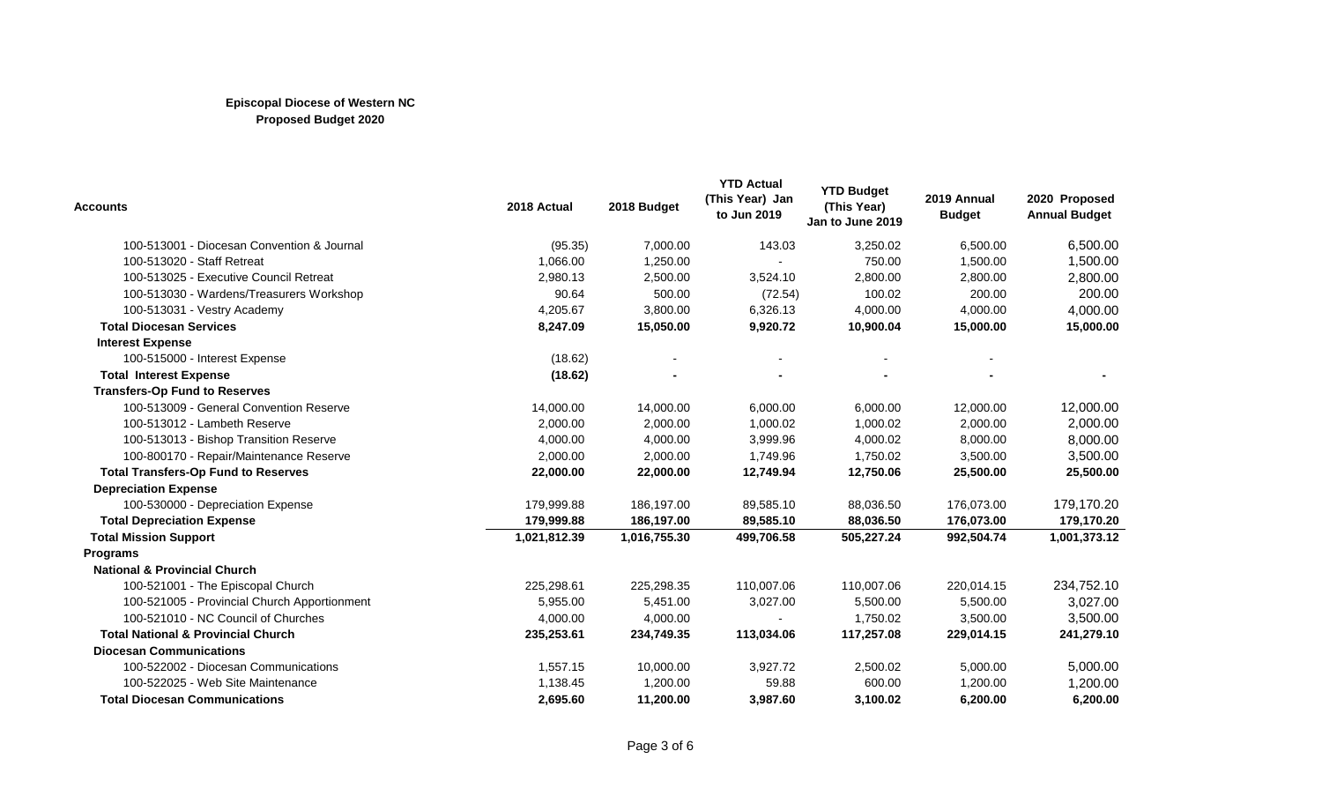| <b>Accounts</b>                               | 2018 Actual  | 2018 Budget  | <b>YTD Actual</b><br>(This Year) Jan<br>to Jun 2019 | <b>YTD Budget</b><br>(This Year)<br>Jan to June 2019 | 2019 Annual<br><b>Budget</b> | 2020 Proposed<br><b>Annual Budget</b> |
|-----------------------------------------------|--------------|--------------|-----------------------------------------------------|------------------------------------------------------|------------------------------|---------------------------------------|
| 100-513001 - Diocesan Convention & Journal    | (95.35)      | 7,000.00     | 143.03                                              | 3,250.02                                             | 6,500.00                     | 6,500.00                              |
| 100-513020 - Staff Retreat                    | 1,066.00     | 1,250.00     |                                                     | 750.00                                               | 1,500.00                     | 1,500.00                              |
| 100-513025 - Executive Council Retreat        | 2,980.13     | 2,500.00     | 3,524.10                                            | 2,800.00                                             | 2,800.00                     | 2,800.00                              |
| 100-513030 - Wardens/Treasurers Workshop      | 90.64        | 500.00       | (72.54)                                             | 100.02                                               | 200.00                       | 200.00                                |
| 100-513031 - Vestry Academy                   | 4,205.67     | 3,800.00     | 6,326.13                                            | 4,000.00                                             | 4,000.00                     | 4,000.00                              |
| <b>Total Diocesan Services</b>                | 8,247.09     | 15,050.00    | 9,920.72                                            | 10,900.04                                            | 15,000.00                    | 15,000.00                             |
| <b>Interest Expense</b>                       |              |              |                                                     |                                                      |                              |                                       |
| 100-515000 - Interest Expense                 | (18.62)      |              |                                                     |                                                      |                              |                                       |
| <b>Total Interest Expense</b>                 | (18.62)      |              |                                                     |                                                      |                              |                                       |
| <b>Transfers-Op Fund to Reserves</b>          |              |              |                                                     |                                                      |                              |                                       |
| 100-513009 - General Convention Reserve       | 14,000.00    | 14,000.00    | 6,000.00                                            | 6,000.00                                             | 12,000.00                    | 12,000.00                             |
| 100-513012 - Lambeth Reserve                  | 2,000.00     | 2,000.00     | 1,000.02                                            | 1,000.02                                             | 2,000.00                     | 2,000.00                              |
| 100-513013 - Bishop Transition Reserve        | 4,000.00     | 4,000.00     | 3,999.96                                            | 4,000.02                                             | 8,000.00                     | 8,000.00                              |
| 100-800170 - Repair/Maintenance Reserve       | 2,000.00     | 2,000.00     | 1,749.96                                            | 1,750.02                                             | 3,500.00                     | 3,500.00                              |
| <b>Total Transfers-Op Fund to Reserves</b>    | 22,000.00    | 22,000.00    | 12,749.94                                           | 12,750.06                                            | 25,500.00                    | 25,500.00                             |
| <b>Depreciation Expense</b>                   |              |              |                                                     |                                                      |                              |                                       |
| 100-530000 - Depreciation Expense             | 179,999.88   | 186,197.00   | 89,585.10                                           | 88,036.50                                            | 176,073.00                   | 179,170.20                            |
| <b>Total Depreciation Expense</b>             | 179,999.88   | 186,197.00   | 89,585.10                                           | 88,036.50                                            | 176,073.00                   | 179,170.20                            |
| <b>Total Mission Support</b>                  | 1,021,812.39 | 1,016,755.30 | 499,706.58                                          | 505,227.24                                           | 992,504.74                   | 1,001,373.12                          |
| <b>Programs</b>                               |              |              |                                                     |                                                      |                              |                                       |
| <b>National &amp; Provincial Church</b>       |              |              |                                                     |                                                      |                              |                                       |
| 100-521001 - The Episcopal Church             | 225,298.61   | 225,298.35   | 110,007.06                                          | 110,007.06                                           | 220,014.15                   | 234,752.10                            |
| 100-521005 - Provincial Church Apportionment  | 5,955.00     | 5,451.00     | 3,027.00                                            | 5,500.00                                             | 5,500.00                     | 3,027.00                              |
| 100-521010 - NC Council of Churches           | 4,000.00     | 4,000.00     |                                                     | 1,750.02                                             | 3,500.00                     | 3,500.00                              |
| <b>Total National &amp; Provincial Church</b> | 235,253.61   | 234,749.35   | 113,034.06                                          | 117,257.08                                           | 229,014.15                   | 241,279.10                            |
| <b>Diocesan Communications</b>                |              |              |                                                     |                                                      |                              |                                       |
| 100-522002 - Diocesan Communications          | 1,557.15     | 10,000.00    | 3,927.72                                            | 2,500.02                                             | 5,000.00                     | 5,000.00                              |
| 100-522025 - Web Site Maintenance             | 1,138.45     | 1,200.00     | 59.88                                               | 600.00                                               | 1,200.00                     | 1,200.00                              |
| <b>Total Diocesan Communications</b>          | 2.695.60     | 11,200.00    | 3,987.60                                            | 3,100.02                                             | 6,200.00                     | 6,200.00                              |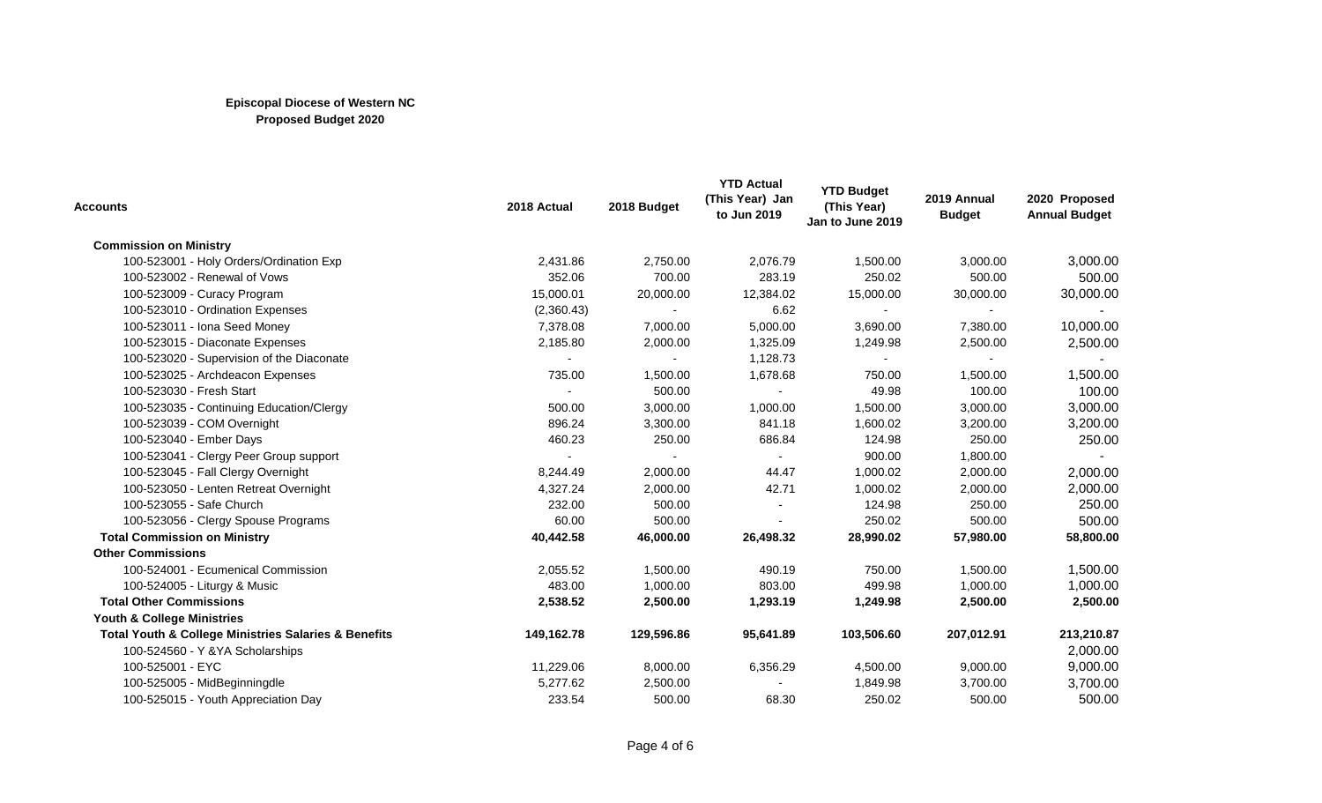| Accounts                                                            | 2018 Actual    | 2018 Budget | <b>YTD Actual</b><br>(This Year) Jan<br>to Jun 2019 | <b>YTD Budget</b><br>(This Year)<br>Jan to June 2019 | 2019 Annual<br><b>Budget</b> | 2020 Proposed<br><b>Annual Budget</b> |
|---------------------------------------------------------------------|----------------|-------------|-----------------------------------------------------|------------------------------------------------------|------------------------------|---------------------------------------|
| <b>Commission on Ministry</b>                                       |                |             |                                                     |                                                      |                              |                                       |
| 100-523001 - Holy Orders/Ordination Exp                             | 2,431.86       | 2,750.00    | 2,076.79                                            | 1,500.00                                             | 3,000.00                     | 3,000.00                              |
| 100-523002 - Renewal of Vows                                        | 352.06         | 700.00      | 283.19                                              | 250.02                                               | 500.00                       | 500.00                                |
| 100-523009 - Curacy Program                                         | 15,000.01      | 20,000.00   | 12,384.02                                           | 15,000.00                                            | 30,000.00                    | 30,000.00                             |
| 100-523010 - Ordination Expenses                                    | (2,360.43)     |             | 6.62                                                |                                                      |                              |                                       |
| 100-523011 - Iona Seed Money                                        | 7,378.08       | 7,000.00    | 5,000.00                                            | 3,690.00                                             | 7,380.00                     | 10,000.00                             |
| 100-523015 - Diaconate Expenses                                     | 2,185.80       | 2,000.00    | 1,325.09                                            | 1,249.98                                             | 2,500.00                     | 2,500.00                              |
| 100-523020 - Supervision of the Diaconate                           | $\blacksquare$ |             | 1,128.73                                            |                                                      |                              |                                       |
| 100-523025 - Archdeacon Expenses                                    | 735.00         | 1,500.00    | 1,678.68                                            | 750.00                                               | 1,500.00                     | 1,500.00                              |
| 100-523030 - Fresh Start                                            |                | 500.00      |                                                     | 49.98                                                | 100.00                       | 100.00                                |
| 100-523035 - Continuing Education/Clergy                            | 500.00         | 3,000.00    | 1,000.00                                            | 1,500.00                                             | 3,000.00                     | 3,000.00                              |
| 100-523039 - COM Overnight                                          | 896.24         | 3,300.00    | 841.18                                              | 1,600.02                                             | 3,200.00                     | 3,200.00                              |
| 100-523040 - Ember Days                                             | 460.23         | 250.00      | 686.84                                              | 124.98                                               | 250.00                       | 250.00                                |
| 100-523041 - Clergy Peer Group support                              |                |             |                                                     | 900.00                                               | 1,800.00                     |                                       |
| 100-523045 - Fall Clergy Overnight                                  | 8,244.49       | 2,000.00    | 44.47                                               | 1,000.02                                             | 2,000.00                     | 2,000.00                              |
| 100-523050 - Lenten Retreat Overnight                               | 4,327.24       | 2,000.00    | 42.71                                               | 1,000.02                                             | 2,000.00                     | 2,000.00                              |
| 100-523055 - Safe Church                                            | 232.00         | 500.00      |                                                     | 124.98                                               | 250.00                       | 250.00                                |
| 100-523056 - Clergy Spouse Programs                                 | 60.00          | 500.00      |                                                     | 250.02                                               | 500.00                       | 500.00                                |
| <b>Total Commission on Ministry</b>                                 | 40,442.58      | 46,000.00   | 26,498.32                                           | 28,990.02                                            | 57,980.00                    | 58,800.00                             |
| <b>Other Commissions</b>                                            |                |             |                                                     |                                                      |                              |                                       |
| 100-524001 - Ecumenical Commission                                  | 2,055.52       | 1,500.00    | 490.19                                              | 750.00                                               | 1,500.00                     | 1,500.00                              |
| 100-524005 - Liturgy & Music                                        | 483.00         | 1,000.00    | 803.00                                              | 499.98                                               | 1,000.00                     | 1,000.00                              |
| <b>Total Other Commissions</b>                                      | 2,538.52       | 2,500.00    | 1,293.19                                            | 1,249.98                                             | 2,500.00                     | 2,500.00                              |
| Youth & College Ministries                                          |                |             |                                                     |                                                      |                              |                                       |
| <b>Total Youth &amp; College Ministries Salaries &amp; Benefits</b> | 149,162.78     | 129,596.86  | 95,641.89                                           | 103,506.60                                           | 207,012.91                   | 213,210.87                            |
| 100-524560 - Y & YA Scholarships                                    |                |             |                                                     |                                                      |                              | 2,000.00                              |
| 100-525001 - EYC                                                    | 11,229.06      | 8,000.00    | 6,356.29                                            | 4,500.00                                             | 9,000.00                     | 9,000.00                              |
| 100-525005 - MidBeginningdle                                        | 5,277.62       | 2,500.00    |                                                     | 1,849.98                                             | 3,700.00                     | 3,700.00                              |
| 100-525015 - Youth Appreciation Day                                 | 233.54         | 500.00      | 68.30                                               | 250.02                                               | 500.00                       | 500.00                                |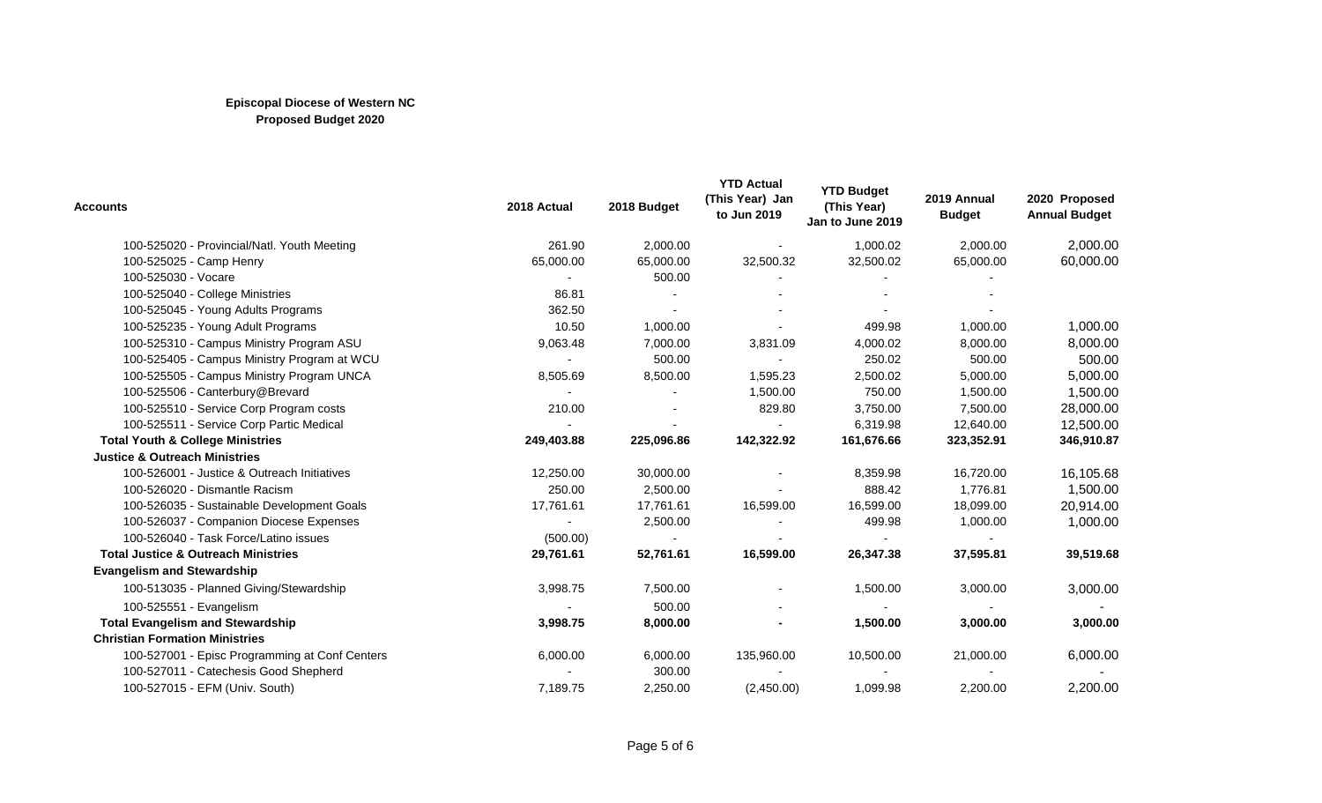| Accounts                                       | 2018 Actual    | 2018 Budget | <b>YTD Actual</b><br>(This Year) Jan<br>to Jun 2019 | <b>YTD Budget</b><br>(This Year)<br>Jan to June 2019 | 2019 Annual<br><b>Budget</b> | 2020 Proposed<br><b>Annual Budget</b> |
|------------------------------------------------|----------------|-------------|-----------------------------------------------------|------------------------------------------------------|------------------------------|---------------------------------------|
| 100-525020 - Provincial/Natl. Youth Meeting    | 261.90         | 2,000.00    |                                                     | 1,000.02                                             | 2,000.00                     | 2,000.00                              |
| 100-525025 - Camp Henry                        | 65,000.00      | 65,000.00   | 32,500.32                                           | 32,500.02                                            | 65,000.00                    | 60,000.00                             |
| 100-525030 - Vocare                            | $\blacksquare$ | 500.00      |                                                     |                                                      |                              |                                       |
| 100-525040 - College Ministries                | 86.81          |             |                                                     |                                                      |                              |                                       |
| 100-525045 - Young Adults Programs             | 362.50         |             |                                                     |                                                      |                              |                                       |
| 100-525235 - Young Adult Programs              | 10.50          | 1,000.00    |                                                     | 499.98                                               | 1,000.00                     | 1,000.00                              |
| 100-525310 - Campus Ministry Program ASU       | 9,063.48       | 7,000.00    | 3,831.09                                            | 4,000.02                                             | 8,000.00                     | 8,000.00                              |
| 100-525405 - Campus Ministry Program at WCU    |                | 500.00      |                                                     | 250.02                                               | 500.00                       | 500.00                                |
| 100-525505 - Campus Ministry Program UNCA      | 8,505.69       | 8,500.00    | 1,595.23                                            | 2,500.02                                             | 5,000.00                     | 5,000.00                              |
| 100-525506 - Canterbury@Brevard                |                |             | 1,500.00                                            | 750.00                                               | 1,500.00                     | 1,500.00                              |
| 100-525510 - Service Corp Program costs        | 210.00         |             | 829.80                                              | 3,750.00                                             | 7,500.00                     | 28,000.00                             |
| 100-525511 - Service Corp Partic Medical       |                |             | $\overline{\phantom{a}}$                            | 6,319.98                                             | 12,640.00                    | 12,500.00                             |
| <b>Total Youth &amp; College Ministries</b>    | 249,403.88     | 225,096.86  | 142,322.92                                          | 161,676.66                                           | 323,352.91                   | 346,910.87                            |
| <b>Justice &amp; Outreach Ministries</b>       |                |             |                                                     |                                                      |                              |                                       |
| 100-526001 - Justice & Outreach Initiatives    | 12,250.00      | 30,000.00   |                                                     | 8,359.98                                             | 16,720.00                    | 16,105.68                             |
| 100-526020 - Dismantle Racism                  | 250.00         | 2,500.00    |                                                     | 888.42                                               | 1,776.81                     | 1,500.00                              |
| 100-526035 - Sustainable Development Goals     | 17,761.61      | 17,761.61   | 16,599.00                                           | 16,599.00                                            | 18,099.00                    | 20,914.00                             |
| 100-526037 - Companion Diocese Expenses        | $\blacksquare$ | 2,500.00    | $\sim$                                              | 499.98                                               | 1,000.00                     | 1,000.00                              |
| 100-526040 - Task Force/Latino issues          | (500.00)       |             |                                                     |                                                      |                              |                                       |
| <b>Total Justice &amp; Outreach Ministries</b> | 29,761.61      | 52,761.61   | 16,599.00                                           | 26,347.38                                            | 37,595.81                    | 39,519.68                             |
| <b>Evangelism and Stewardship</b>              |                |             |                                                     |                                                      |                              |                                       |
| 100-513035 - Planned Giving/Stewardship        | 3,998.75       | 7,500.00    |                                                     | 1,500.00                                             | 3,000.00                     | 3,000.00                              |
| 100-525551 - Evangelism                        |                | 500.00      |                                                     |                                                      |                              |                                       |
| <b>Total Evangelism and Stewardship</b>        | 3,998.75       | 8,000.00    |                                                     | 1,500.00                                             | 3,000.00                     | 3,000.00                              |
| <b>Christian Formation Ministries</b>          |                |             |                                                     |                                                      |                              |                                       |
| 100-527001 - Episc Programming at Conf Centers | 6,000.00       | 6,000.00    | 135,960.00                                          | 10,500.00                                            | 21,000.00                    | 6,000.00                              |
| 100-527011 - Catechesis Good Shepherd          |                | 300.00      |                                                     |                                                      |                              |                                       |
| 100-527015 - EFM (Univ. South)                 | 7,189.75       | 2,250.00    | (2,450.00)                                          | 1,099.98                                             | 2,200.00                     | 2,200.00                              |